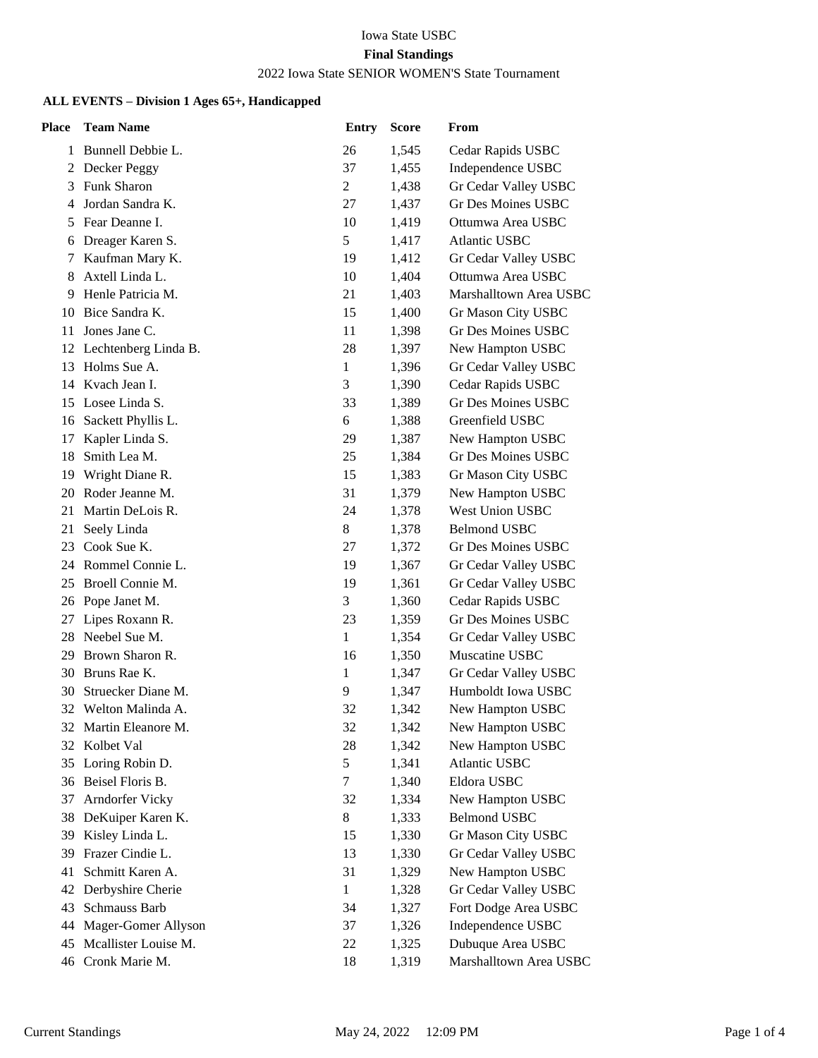### Iowa State USBC **Final Standings** 2022 Iowa State SENIOR WOMEN'S State Tournament

### **ALL EVENTS – Division 1 Ages 65+, Handicapped**

| <b>Place</b> | <b>Team Name</b>        | <b>Entry</b> | <b>Score</b> | From                      |
|--------------|-------------------------|--------------|--------------|---------------------------|
| 1            | Bunnell Debbie L.       | 26           | 1,545        | Cedar Rapids USBC         |
| 2            | Decker Peggy            | 37           | 1,455        | Independence USBC         |
| 3            | <b>Funk Sharon</b>      | 2            | 1,438        | Gr Cedar Valley USBC      |
| 4            | Jordan Sandra K.        | 27           | 1,437        | <b>Gr Des Moines USBC</b> |
| 5            | Fear Deanne I.          | 10           | 1,419        | Ottumwa Area USBC         |
| 6            | Dreager Karen S.        | 5            | 1,417        | <b>Atlantic USBC</b>      |
| 7            | Kaufman Mary K.         | 19           | 1,412        | Gr Cedar Valley USBC      |
| 8            | Axtell Linda L.         | 10           | 1,404        | Ottumwa Area USBC         |
| 9            | Henle Patricia M.       | 21           | 1,403        | Marshalltown Area USBC    |
| 10           | Bice Sandra K.          | 15           | 1,400        | Gr Mason City USBC        |
| 11           | Jones Jane C.           | 11           | 1,398        | <b>Gr Des Moines USBC</b> |
|              | 12 Lechtenberg Linda B. | 28           | 1,397        | New Hampton USBC          |
| 13           | Holms Sue A.            | $\mathbf{1}$ | 1,396        | Gr Cedar Valley USBC      |
| 14           | Kvach Jean I.           | 3            | 1,390        | Cedar Rapids USBC         |
| 15           | Losee Linda S.          | 33           | 1,389        | Gr Des Moines USBC        |
|              | 16 Sackett Phyllis L.   | 6            | 1,388        | Greenfield USBC           |
| 17           | Kapler Linda S.         | 29           | 1,387        | New Hampton USBC          |
| 18           | Smith Lea M.            | 25           | 1,384        | <b>Gr Des Moines USBC</b> |
| 19           | Wright Diane R.         | 15           | 1,383        | Gr Mason City USBC        |
| 20           | Roder Jeanne M.         | 31           | 1,379        | New Hampton USBC          |
| 21           | Martin DeLois R.        | 24           | 1,378        | <b>West Union USBC</b>    |
| 21           | Seely Linda             | 8            | 1,378        | <b>Belmond USBC</b>       |
| 23           | Cook Sue K.             | 27           | 1,372        | <b>Gr Des Moines USBC</b> |
| 24           | Rommel Connie L.        | 19           | 1,367        | Gr Cedar Valley USBC      |
| 25           | Broell Connie M.        | 19           | 1,361        | Gr Cedar Valley USBC      |
| 26           | Pope Janet M.           | 3            | 1,360        | Cedar Rapids USBC         |
| 27           | Lipes Roxann R.         | 23           | 1,359        | <b>Gr Des Moines USBC</b> |
|              | 28 Neebel Sue M.        | $\mathbf{1}$ | 1,354        | Gr Cedar Valley USBC      |
| 29           | Brown Sharon R.         | 16           | 1,350        | Muscatine USBC            |
| 30           | Bruns Rae K.            | 1            | 1,347        | Gr Cedar Valley USBC      |
| 30           | Struecker Diane M.      | 9            | 1,347        | Humboldt Iowa USBC        |
| 32           | Welton Malinda A.       | 32           | 1,342        | New Hampton USBC          |
|              | 32 Martin Eleanore M.   | 32           | 1,342        | New Hampton USBC          |
| 32           | Kolbet Val              | 28           | 1,342        | New Hampton USBC          |
| 35           | Loring Robin D.         | 5            | 1,341        | <b>Atlantic USBC</b>      |
|              | 36 Beisel Floris B.     | $\tau$       | 1,340        | Eldora USBC               |
| 37           | Arndorfer Vicky         | 32           | 1,334        | New Hampton USBC          |
| 38           | DeKuiper Karen K.       | 8            | 1,333        | <b>Belmond USBC</b>       |
| 39           | Kisley Linda L.         | 15           | 1,330        | Gr Mason City USBC        |
| 39           | Frazer Cindie L.        | 13           | 1,330        | Gr Cedar Valley USBC      |
| 41           | Schmitt Karen A.        | 31           | 1,329        | New Hampton USBC          |
| 42           | Derbyshire Cherie       | $\mathbf{1}$ | 1,328        | Gr Cedar Valley USBC      |
| 43           | Schmauss Barb           | 34           | 1,327        | Fort Dodge Area USBC      |
| 44           | Mager-Gomer Allyson     | 37           | 1,326        | Independence USBC         |
| 45           | Mcallister Louise M.    | 22           | 1,325        | Dubuque Area USBC         |
|              | 46 Cronk Marie M.       | 18           | 1,319        | Marshalltown Area USBC    |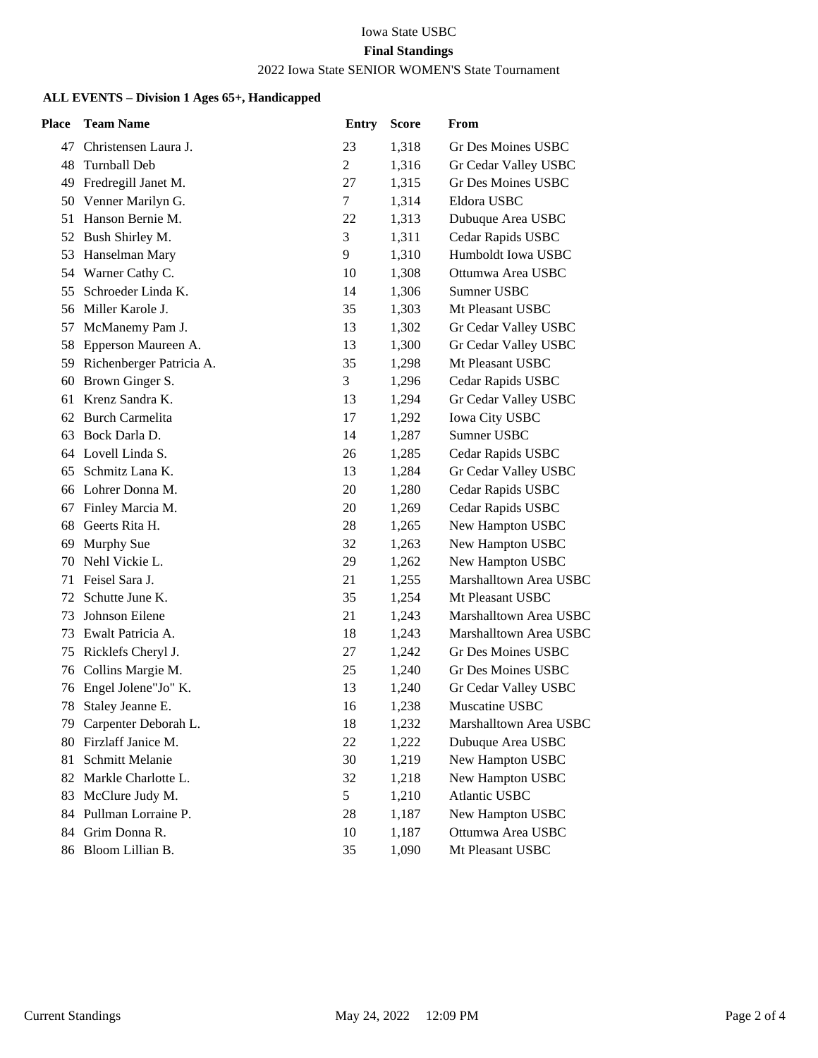### Iowa State USBC **Final Standings**

# 2022 Iowa State SENIOR WOMEN'S State Tournament

### **ALL EVENTS – Division 1 Ages 65+, Handicapped**

| Place | <b>Team Name</b>         | <b>Entry</b>   | <b>Score</b> | From                      |
|-------|--------------------------|----------------|--------------|---------------------------|
| 47    | Christensen Laura J.     | 23             | 1,318        | Gr Des Moines USBC        |
|       | 48 Turnball Deb          | $\overline{2}$ | 1,316        | Gr Cedar Valley USBC      |
|       | 49 Fredregill Janet M.   | 27             | 1,315        | <b>Gr Des Moines USBC</b> |
| 50    | Venner Marilyn G.        | $\tau$         | 1,314        | Eldora USBC               |
| 51    | Hanson Bernie M.         | 22             | 1,313        | Dubuque Area USBC         |
| 52    | Bush Shirley M.          | 3              | 1,311        | Cedar Rapids USBC         |
|       | 53 Hanselman Mary        | 9              | 1,310        | Humboldt Iowa USBC        |
|       | 54 Warner Cathy C.       | 10             | 1,308        | Ottumwa Area USBC         |
| 55    | Schroeder Linda K.       | 14             | 1,306        | Sumner USBC               |
|       | 56 Miller Karole J.      | 35             | 1,303        | Mt Pleasant USBC          |
| 57    | McManemy Pam J.          | 13             | 1,302        | Gr Cedar Valley USBC      |
| 58    | Epperson Maureen A.      | 13             | 1,300        | Gr Cedar Valley USBC      |
| 59    | Richenberger Patricia A. | 35             | 1,298        | Mt Pleasant USBC          |
| 60    | Brown Ginger S.          | 3              | 1,296        | Cedar Rapids USBC         |
| 61    | Krenz Sandra K.          | 13             | 1,294        | Gr Cedar Valley USBC      |
| 62    | <b>Burch Carmelita</b>   | 17             | 1,292        | <b>Iowa City USBC</b>     |
| 63    | Bock Darla D.            | 14             | 1,287        | Sumner USBC               |
|       | 64 Lovell Linda S.       | 26             | 1,285        | Cedar Rapids USBC         |
| 65    | Schmitz Lana K.          | 13             | 1,284        | Gr Cedar Valley USBC      |
| 66    | Lohrer Donna M.          | 20             | 1,280        | Cedar Rapids USBC         |
| 67    | Finley Marcia M.         | 20             | 1,269        | Cedar Rapids USBC         |
| 68    | Geerts Rita H.           | 28             | 1,265        | New Hampton USBC          |
| 69    | Murphy Sue               | 32             | 1,263        | New Hampton USBC          |
| 70    | Nehl Vickie L.           | 29             | 1,262        | New Hampton USBC          |
| 71    | Feisel Sara J.           | 21             | 1,255        | Marshalltown Area USBC    |
| 72    | Schutte June K.          | 35             | 1,254        | Mt Pleasant USBC          |
| 73    | Johnson Eilene           | 21             | 1,243        | Marshalltown Area USBC    |
| 73    | Ewalt Patricia A.        | 18             | 1,243        | Marshalltown Area USBC    |
| 75    | Ricklefs Cheryl J.       | 27             | 1,242        | Gr Des Moines USBC        |
| 76    | Collins Margie M.        | 25             | 1,240        | Gr Des Moines USBC        |
| 76    | Engel Jolene"Jo" K.      | 13             | 1,240        | Gr Cedar Valley USBC      |
| 78    | Staley Jeanne E.         | 16             | 1,238        | Muscatine USBC            |
| 79.   | Carpenter Deborah L.     | 18             | 1,232        | Marshalltown Area USBC    |
| 80    | Firzlaff Janice M.       | 22             | 1,222        | Dubuque Area USBC         |
| 81    | Schmitt Melanie          | 30             | 1,219        | New Hampton USBC          |
|       | 82 Markle Charlotte L.   | 32             | 1,218        | New Hampton USBC          |
| 83    | McClure Judy M.          | 5              | 1,210        | <b>Atlantic USBC</b>      |
| 84    | Pullman Lorraine P.      | 28             | 1,187        | New Hampton USBC          |
| 84.   | Grim Donna R.            | 10             | 1,187        | Ottumwa Area USBC         |
|       | 86 Bloom Lillian B.      | 35             | 1,090        | Mt Pleasant USBC          |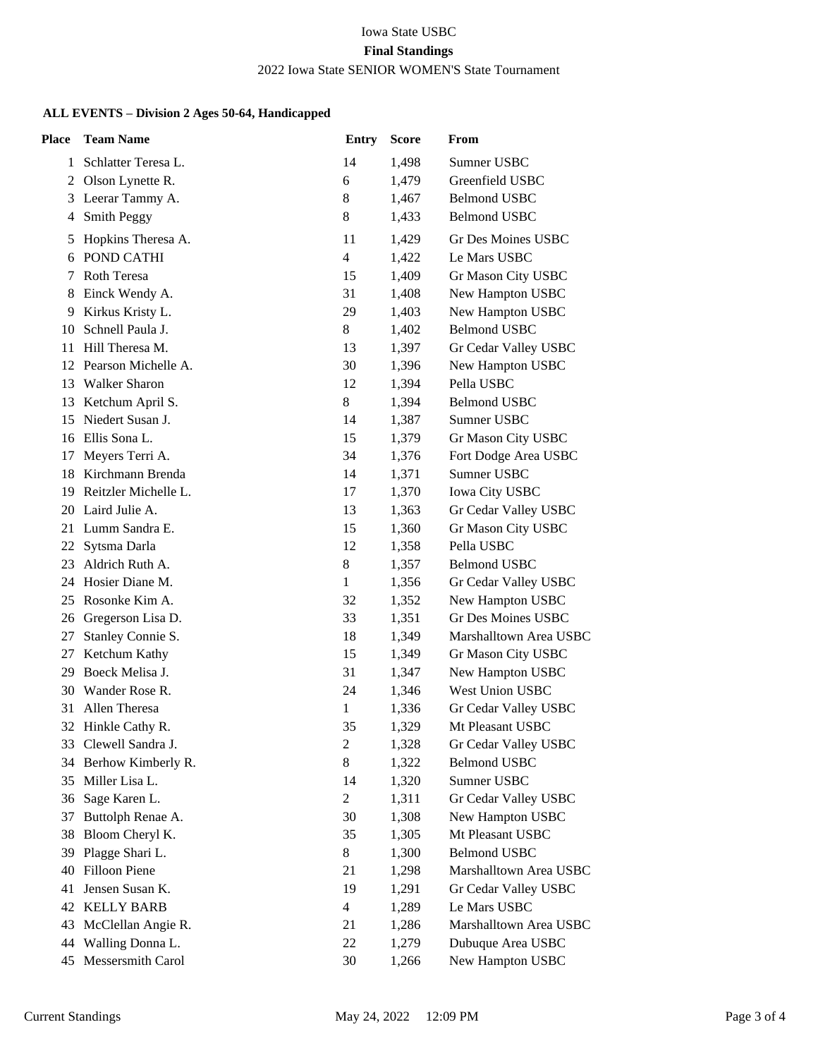## Iowa State USBC **Final Standings** 2022 Iowa State SENIOR WOMEN'S State Tournament

## **ALL EVENTS – Division 2 Ages 50-64, Handicapped**

| <b>Place</b> | <b>Team Name</b>      | <b>Entry</b>   | <b>Score</b> | From                   |
|--------------|-----------------------|----------------|--------------|------------------------|
| 1            | Schlatter Teresa L.   | 14             | 1,498        | Sumner USBC            |
| 2            | Olson Lynette R.      | 6              | 1,479        | Greenfield USBC        |
| 3            | Leerar Tammy A.       | 8              | 1,467        | <b>Belmond USBC</b>    |
| 4            | Smith Peggy           | 8              | 1,433        | <b>Belmond USBC</b>    |
| 5            | Hopkins Theresa A.    | 11             | 1,429        | Gr Des Moines USBC     |
| 6            | POND CATHI            | $\overline{4}$ | 1,422        | Le Mars USBC           |
| 7            | Roth Teresa           | 15             | 1,409        | Gr Mason City USBC     |
| 8            | Einck Wendy A.        | 31             | 1,408        | New Hampton USBC       |
| 9            | Kirkus Kristy L.      | 29             | 1,403        | New Hampton USBC       |
| 10           | Schnell Paula J.      | 8              | 1,402        | <b>Belmond USBC</b>    |
| 11           | Hill Theresa M.       | 13             | 1,397        | Gr Cedar Valley USBC   |
| 12           | Pearson Michelle A.   | 30             | 1,396        | New Hampton USBC       |
| 13           | <b>Walker Sharon</b>  | 12             | 1,394        | Pella USBC             |
| 13           | Ketchum April S.      | 8              | 1,394        | <b>Belmond USBC</b>    |
| 15           | Niedert Susan J.      | 14             | 1,387        | Sumner USBC            |
|              | 16 Ellis Sona L.      | 15             | 1,379        | Gr Mason City USBC     |
| 17           | Meyers Terri A.       | 34             | 1,376        | Fort Dodge Area USBC   |
| 18           | Kirchmann Brenda      | 14             | 1,371        | Sumner USBC            |
| 19           | Reitzler Michelle L.  | 17             | 1,370        | Iowa City USBC         |
| 20           | Laird Julie A.        | 13             | 1,363        | Gr Cedar Valley USBC   |
| 21           | Lumm Sandra E.        | 15             | 1,360        | Gr Mason City USBC     |
| 22           | Sytsma Darla          | 12             | 1,358        | Pella USBC             |
| 23           | Aldrich Ruth A.       | 8              | 1,357        | <b>Belmond USBC</b>    |
| 24           | Hosier Diane M.       | $\mathbf{1}$   | 1,356        | Gr Cedar Valley USBC   |
| 25           | Rosonke Kim A.        | 32             | 1,352        | New Hampton USBC       |
|              | 26 Gregerson Lisa D.  | 33             | 1,351        | Gr Des Moines USBC     |
| 27           | Stanley Connie S.     | 18             | 1,349        | Marshalltown Area USBC |
| 27           | Ketchum Kathy         | 15             | 1,349        | Gr Mason City USBC     |
| 29           | Boeck Melisa J.       | 31             | 1,347        | New Hampton USBC       |
|              | 30 Wander Rose R.     | 24             | 1,346        | West Union USBC        |
| 31           | Allen Theresa         | 1              | 1,336        | Gr Cedar Valley USBC   |
| 32           | Hinkle Cathy R.       | 35             | 1,329        | Mt Pleasant USBC       |
|              | 33 Clewell Sandra J.  | $\overline{c}$ | 1,328        | Gr Cedar Valley USBC   |
|              | 34 Berhow Kimberly R. | $\,8\,$        | 1,322        | <b>Belmond USBC</b>    |
| 35           | Miller Lisa L.        | 14             | 1,320        | Sumner USBC            |
| 36           | Sage Karen L.         | $\mathbf{2}$   | 1,311        | Gr Cedar Valley USBC   |
| 37           | Buttolph Renae A.     | 30             | 1,308        | New Hampton USBC       |
| 38           | Bloom Cheryl K.       | 35             | 1,305        | Mt Pleasant USBC       |
| 39           | Plagge Shari L.       | 8              | 1,300        | <b>Belmond USBC</b>    |
| 40           | Filloon Piene         | 21             | 1,298        | Marshalltown Area USBC |
| 41           | Jensen Susan K.       | 19             | 1,291        | Gr Cedar Valley USBC   |
| 42           | <b>KELLY BARB</b>     | $\overline{4}$ | 1,289        | Le Mars USBC           |
| 43           | McClellan Angie R.    | 21             | 1,286        | Marshalltown Area USBC |
| 44           | Walling Donna L.      | 22             | 1,279        | Dubuque Area USBC      |
| 45           | Messersmith Carol     | 30             | 1,266        | New Hampton USBC       |
|              |                       |                |              |                        |